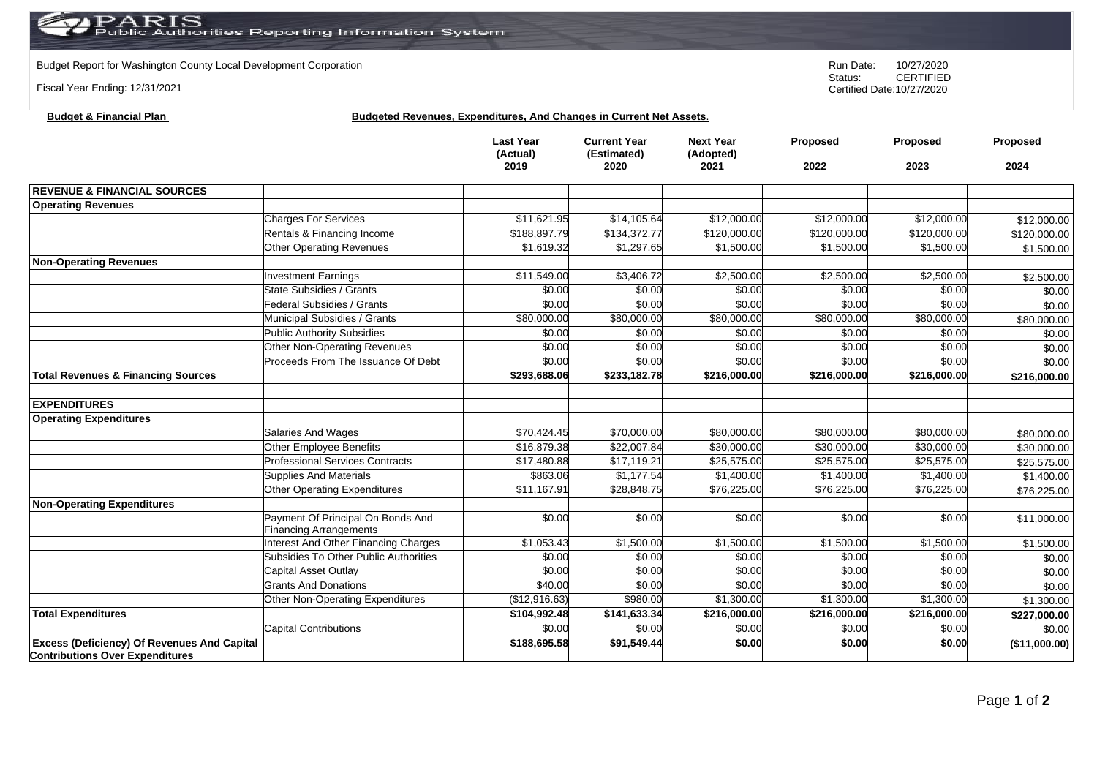Budget Report for Washington County Local Development Corporation **Company County Connect Connect Connect Author**<br>Status: CERTIFIED

Fiscal Year Ending: 12/31/2021

CERTIFIED Certified Date:10/27/2020

## **Budget & Financial Plan Budgeted Revenues, Expenditures, And Changes in Current Net Assets**.

|                                                                                              |                                                                    | <b>Last Year</b><br>(Actual)<br>2019 | <b>Current Year</b><br>(Estimated)<br>2020 | <b>Next Year</b><br>(Adopted)<br>2021 | Proposed<br>2022 | Proposed<br>2023 | Proposed<br>2024 |
|----------------------------------------------------------------------------------------------|--------------------------------------------------------------------|--------------------------------------|--------------------------------------------|---------------------------------------|------------------|------------------|------------------|
|                                                                                              |                                                                    |                                      |                                            |                                       |                  |                  |                  |
| <b>REVENUE &amp; FINANCIAL SOURCES</b>                                                       |                                                                    |                                      |                                            |                                       |                  |                  |                  |
| <b>Operating Revenues</b>                                                                    |                                                                    |                                      |                                            |                                       |                  |                  |                  |
|                                                                                              | <b>Charges For Services</b>                                        | \$11,621.95                          | \$14,105.64                                | \$12,000.00                           | \$12,000.00      | \$12,000.00      | \$12,000.00      |
|                                                                                              | Rentals & Financing Income                                         | \$188,897.79                         | \$134,372.77                               | \$120,000.00                          | \$120,000.00     | \$120,000.00     | \$120,000.00     |
|                                                                                              | <b>Other Operating Revenues</b>                                    | \$1,619.32                           | \$1,297.65                                 | \$1,500.00                            | \$1,500.00       | \$1,500.00       | \$1,500.00       |
| <b>Non-Operating Revenues</b>                                                                |                                                                    |                                      |                                            |                                       |                  |                  |                  |
|                                                                                              | <b>Investment Earnings</b>                                         | \$11,549.00                          | \$3,406.72                                 | \$2,500.00                            | \$2,500.00       | \$2,500.00       | \$2,500.00       |
|                                                                                              | State Subsidies / Grants                                           | \$0.00                               | \$0.00                                     | \$0.00                                | \$0.00           | \$0.00           | \$0.00           |
|                                                                                              | Federal Subsidies / Grants                                         | \$0.00                               | \$0.00                                     | \$0.00                                | \$0.00           | \$0.00           | \$0.00           |
|                                                                                              | Municipal Subsidies / Grants                                       | \$80,000.00                          | \$80,000.00                                | \$80,000.00                           | \$80,000.00      | \$80,000.00      | \$80,000.00      |
|                                                                                              | Public Authority Subsidies                                         | \$0.00                               | \$0.00                                     | \$0.00                                | \$0.00           | \$0.00           | \$0.00           |
|                                                                                              | Other Non-Operating Revenues                                       | \$0.00                               | \$0.00                                     | \$0.00                                | \$0.00           | \$0.00           | \$0.00           |
|                                                                                              | Proceeds From The Issuance Of Debt                                 | \$0.00                               | \$0.00                                     | \$0.00                                | \$0.00           | \$0.00           | \$0.00           |
| <b>Total Revenues &amp; Financing Sources</b>                                                |                                                                    | \$293,688.06                         | \$233,182.78                               | \$216,000.00                          | \$216,000.00     | \$216,000.00     | \$216,000.00     |
|                                                                                              |                                                                    |                                      |                                            |                                       |                  |                  |                  |
| <b>EXPENDITURES</b>                                                                          |                                                                    |                                      |                                            |                                       |                  |                  |                  |
| <b>Operating Expenditures</b>                                                                |                                                                    |                                      |                                            |                                       |                  |                  |                  |
|                                                                                              | Salaries And Wages                                                 | \$70,424.45                          | \$70,000.00                                | \$80,000.00                           | \$80,000.00      | \$80,000.00      | \$80,000.00      |
|                                                                                              | <b>Other Employee Benefits</b>                                     | \$16,879.38                          | \$22,007.84                                | \$30,000.00                           | \$30,000.00      | \$30,000.00      | \$30,000.00      |
|                                                                                              | <b>Professional Services Contracts</b>                             | \$17,480.88                          | \$17,119.21                                | \$25,575.00                           | \$25,575.00      | \$25,575.00      | \$25,575.00      |
|                                                                                              | <b>Supplies And Materials</b>                                      | \$863.06                             | \$1,177.54                                 | \$1,400.00                            | \$1,400.00       | \$1,400.00       | \$1,400.00       |
|                                                                                              | <b>Other Operating Expenditures</b>                                | \$11,167.91                          | $\overline{$28,848.75}$                    | \$76,225.00                           | \$76,225.00      | \$76,225.00      | \$76,225.00      |
| <b>Non-Operating Expenditures</b>                                                            |                                                                    |                                      |                                            |                                       |                  |                  |                  |
|                                                                                              | Payment Of Principal On Bonds And<br><b>Financing Arrangements</b> | \$0.00                               | \$0.00                                     | $\sqrt{$0.00}$                        | \$0.00           | \$0.00           | \$11,000.00      |
|                                                                                              | Interest And Other Financing Charges                               | \$1,053.43                           | \$1,500.00                                 | \$1,500.00                            | \$1,500.00       | \$1,500.00       | \$1,500.00       |
|                                                                                              | Subsidies To Other Public Authorities                              | \$0.00                               | \$0.00                                     | \$0.00                                | \$0.00           | \$0.00           | \$0.00           |
|                                                                                              | Capital Asset Outlay                                               | \$0.00                               | \$0.00                                     | \$0.00                                | \$0.00           | \$0.00           | \$0.00           |
|                                                                                              | <b>Grants And Donations</b>                                        | \$40.00                              | \$0.00                                     | \$0.00                                | \$0.00           | \$0.00           | \$0.00           |
|                                                                                              | Other Non-Operating Expenditures                                   | (\$12,916.63)                        | \$980.00                                   | \$1,300.00                            | \$1,300.00       | \$1,300.00       | \$1,300.00       |
| <b>Total Expenditures</b>                                                                    |                                                                    | \$104,992.48                         | \$141,633.34                               | \$216,000.00                          | \$216,000.00     | \$216,000.00     | \$227,000.00     |
|                                                                                              | <b>Capital Contributions</b>                                       | \$0.00                               | \$0.00                                     | \$0.00                                | \$0.00           | \$0.00           | \$0.00           |
| <b>Excess (Deficiency) Of Revenues And Capital</b><br><b>Contributions Over Expenditures</b> |                                                                    | \$188,695.58                         | \$91,549.44                                | \$0.00                                | \$0.00           | \$0.00           | (\$11,000.00)    |